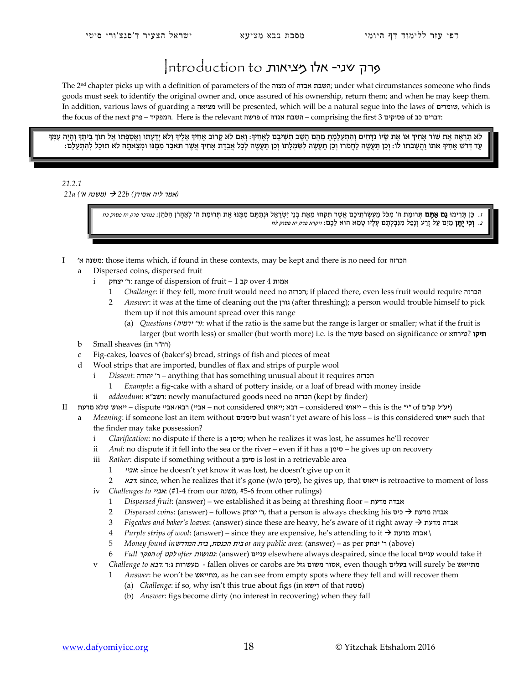## מרק שני- אלו מציאות ntroduction to

The 2nd chapter picks up with a definition of parameters of the מצוה of אבדה השבת ;under what circumstances someone who finds goods must seek to identify the original owner and, once assured of his ownership, return them; and when he may keep them. In addition, various laws of guarding a מציאה will be presented, which will be a natural segue into the laws of שומרים, which is the focus of the next pn – המפקיד. Here is the relevant השבת אגדה of השבת אגדה – comprising the first 3 בדרים:

לא תִרְאֶה אֶת שוֹר אַחִיךְ אוֹ אֶת שֵׂיוֹ נַדְּחִים וְהִתְעַלְמִתְּ מֵהֶם הַשָּׁב תִּשִׁיבֶם לְאַחִיךְ: וְאִם לֹא קָרוֹב אַחִיךְ אֲלֶיךָ וְלֹא יִדָעִתוֹ וַאֲסַפְתוֹ אֶל תוֹךְ בֵּיתֵךְ וְהַיָּה עִמְּךָ ַ עַד דְּרֹשׁ אָחִיךְ אֹתוֹ וַהֲשֶׁבֹתוֹ לוֹ: וְכֵן תַּעֲשֶׂה לַחֲמֹרוֹ וְכֵן תַּעֲשֶׂה לְשִׁמְלַתוֹ וְכֵן תַּעֲשֶׂה לְכָל אָבֵדַת אָחִיךְ אֲשֶׁר תֹּאבַד מִמְּנּוּ וּמִצָאתָהּ לֹא תוּכַל לְהִתְעַלְם:

## *21.2.1 (*אמר ליה אסירן*) b22 )* משנה א'*) a21*

ז. כֵן תַרִימוּ **גָם אָתֶם** תִּרוּמַת ה' מְכֹל מַעְשִׂרֹתֵיכֶם אֲשֶׁר תִּקְחוּ מֵאֶת בְּנֵי יִשְׂרָאֵל וּנְתַתֵּם מִמְּנוּ אֶת תְּרוּמַת ה' לְאַהֶרן הַכֹּהֶן: *במדבר פרק יח פסוק כח* ב. **וְכִי יֻתֵּן** מַיִם עַל זֶרַע וְנָפַל מִנִּבְלָתָם עָלָיו טָמֵא הוּא לָכֶם: *ויקרא פרק יא פסוק לח* -

- I 'א משנה: those items which, if found in these contexts, may be kept and there is no need for הכרזה
	- Dispersed coins, dispersed fruit
		- i יצחק: range of dispersion of fruit 1 אמות over 4 אמות
			- 1 *Challenge*: if they fell, more fruit would need no הכרזה ;if placed there, even less fruit would require הכרזה
			- 2 *Answer*: it was at the time of cleaning out the גורן) after threshing); a person would trouble himself to pick them up if not this amount spread over this range
				- (a) *Questions (*ירמיה' ר*(*: what if the ratio is the same but the range is larger or smaller; what if the fruit is larger (but worth less) or smaller (but worth more) i.e. is the שעור based on significance or הניקו
	- b Small sheaves (in ר"רה (
	- c Fig-cakes, loaves of (baker's) bread, strings of fish and pieces of meat
	- d Wool strips that are imported, bundles of flax and strips of purple wool
		- i *Dissent*: יהודה ר' יהודה anything that has something unusual about it requires
			- 1 *Example*: a fig-cake with a shard of pottery inside, or a loaf of bread with money inside
		- ii *addendum*: א"רשב: newly manufactured goods need no הכרזה) kept by finder)
- $\Box$  ייאוש שלא מדעת considered ועש"ל קג"ם (ייאוש ייי" of יי" dispute ייאוש חבא ;ייאוש considered ועש"ל הא
	- a *Meaning*: if someone lost an item without סימנים but wasn't yet aware of his loss is this considered ייאוש such that the finder may take possession?
		- i *Clarification*: no dispute if there is a סימן ;when he realizes it was lost, he assumes he'll recover
		- ii *And*: no dispute if it fell into the sea or the river even if it has a סימן he gives up on recovery
		- iii *Rather*: dispute if something without a סימן is lost in a retrievable area
			- 1 אביי: since he doesn't yet know it was lost, he doesn't give up on it
			- 2 רבא: since, when he realizes that it's gone ( $w/\omega$ ן סימן), he gives up, that ייאוש is retroactive to moment of loss
		- iv *Challenges to אביי*: (#1-4 from our משנה, #5-6 from other rulings)
			- 1 *Dispersed fruit*: (answer) we established it as being at threshing floor מדעת אבדה
			- 2 *Dispersed coins*: (answer) follows יאבדה מדעת לא לה, that a person is always checking his אבדה מדעת
			- 3 *Figcakes and baker's loaves*: (answer) since these are heavy, he's aware of it right away מדעת אבדה
			- 4 *Purple strips of wool*: (answer) since they are expensive, he's attending to it מדעת אבדה \
			- 5 *Money found in*המדרש בית ,הכנסת בית *or any public area*: (answer) as per יצחק' ר) above)
			- 6 *Full* הפקר *of* לקט *after* נמושות:) answer) עניים elsewhere always despaired, since the local עניים would take it
		- v *Challenge to* רבא: ד:ג מעשרות fallen olives or carobs are גזל משום אסור, even though בעלים will surely be מתייאש
			- 1 *Answer*: he won't be מתייאש, as he can see from empty spots where they fell and will recover them
				- (a) *Challenge*: if so, why isn't this true about figs (in רישא of that משנה (
				- (b) *Answer*: figs become dirty (no interest in recovering) when they fall